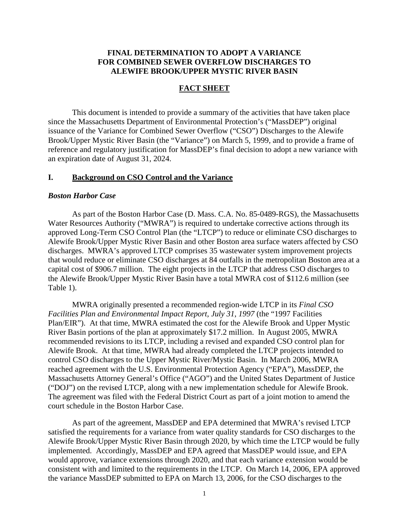## **FINAL DETERMINATION TO ADOPT A VARIANCE FOR COMBINED SEWER OVERFLOW DISCHARGES TO ALEWIFE BROOK/UPPER MYSTIC RIVER BASIN**

### **FACT SHEET**

This document is intended to provide a summary of the activities that have taken place since the Massachusetts Department of Environmental Protection's ("MassDEP") original issuance of the Variance for Combined Sewer Overflow ("CSO") Discharges to the Alewife Brook/Upper Mystic River Basin (the "Variance") on March 5, 1999, and to provide a frame of reference and regulatory justification for MassDEP's final decision to adopt a new variance with an expiration date of August 31, 2024.

### **I. Background on CSO Control and the Variance**

#### *Boston Harbor Case*

 As part of the Boston Harbor Case (D. Mass. C.A. No. 85-0489-RGS), the Massachusetts Water Resources Authority ("MWRA") is required to undertake corrective actions through its approved Long-Term CSO Control Plan (the "LTCP") to reduce or eliminate CSO discharges to Alewife Brook/Upper Mystic River Basin and other Boston area surface waters affected by CSO discharges. MWRA's approved LTCP comprises 35 wastewater system improvement projects that would reduce or eliminate CSO discharges at 84 outfalls in the metropolitan Boston area at a capital cost of \$906.7 million. The eight projects in the LTCP that address CSO discharges to the Alewife Brook/Upper Mystic River Basin have a total MWRA cost of \$112.6 million (see Table 1).

 MWRA originally presented a recommended region-wide LTCP in its *Final CSO Facilities Plan and Environmental Impact Report, July 31, 1997* (the "1997 Facilities Plan/EIR"). At that time, MWRA estimated the cost for the Alewife Brook and Upper Mystic River Basin portions of the plan at approximately \$17.2 million. In August 2005, MWRA recommended revisions to its LTCP, including a revised and expanded CSO control plan for Alewife Brook. At that time, MWRA had already completed the LTCP projects intended to control CSO discharges to the Upper Mystic River/Mystic Basin. In March 2006, MWRA reached agreement with the U.S. Environmental Protection Agency ("EPA"), MassDEP, the Massachusetts Attorney General's Office ("AGO") and the United States Department of Justice ("DOJ") on the revised LTCP, along with a new implementation schedule for Alewife Brook. The agreement was filed with the Federal District Court as part of a joint motion to amend the court schedule in the Boston Harbor Case.

 As part of the agreement, MassDEP and EPA determined that MWRA's revised LTCP satisfied the requirements for a variance from water quality standards for CSO discharges to the Alewife Brook/Upper Mystic River Basin through 2020, by which time the LTCP would be fully implemented. Accordingly, MassDEP and EPA agreed that MassDEP would issue, and EPA would approve, variance extensions through 2020, and that each variance extension would be consistent with and limited to the requirements in the LTCP. On March 14, 2006, EPA approved the variance MassDEP submitted to EPA on March 13, 2006, for the CSO discharges to the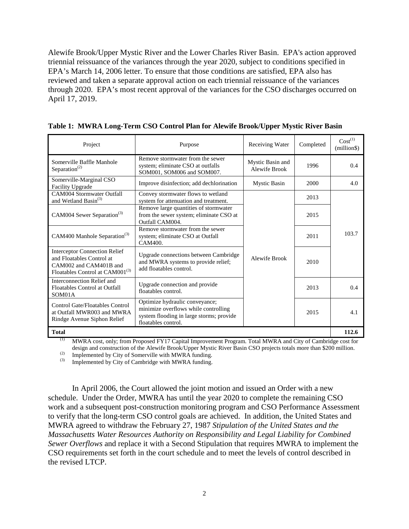Alewife Brook/Upper Mystic River and the Lower Charles River Basin. EPA's action approved triennial reissuance of the variances through the year 2020, subject to conditions specified in EPA's March 14, 2006 letter. To ensure that those conditions are satisfied, EPA also has reviewed and taken a separate approval action on each triennial reissuance of the variances through 2020. EPA's most recent approval of the variances for the CSO discharges occurred on April 17, 2019.

| Project                                                                                                                                    | Purpose                                                                                                                                   | Receiving Water                   | Completed | Cost <sup>(1)</sup><br>(million\$) |  |
|--------------------------------------------------------------------------------------------------------------------------------------------|-------------------------------------------------------------------------------------------------------------------------------------------|-----------------------------------|-----------|------------------------------------|--|
| Somerville Baffle Manhole<br>Separation <sup>(2)</sup>                                                                                     | Remove stormwater from the sewer<br>system; eliminate CSO at outfalls<br>SOM001, SOM006 and SOM007.                                       | Mystic Basin and<br>Alewife Brook | 1996      | 0.4                                |  |
| Somerville-Marginal CSO<br><b>Facility Upgrade</b>                                                                                         | Improve disinfection; add dechlorination<br><b>Mystic Basin</b>                                                                           |                                   | 2000      | 4.0                                |  |
| <b>CAM004 Stormwater Outfall</b><br>and Wetland Basin <sup>(3)</sup>                                                                       | Convey stormwater flows to wetland<br>system for attenuation and treatment.                                                               |                                   | 2013      |                                    |  |
| CAM004 Sewer Separation <sup>(3)</sup>                                                                                                     | Remove large quantities of stormwater<br>from the sewer system; eliminate CSO at<br>Outfall CAM004.                                       |                                   | 2015      |                                    |  |
| CAM400 Manhole Separation <sup>(3)</sup>                                                                                                   | Remove stormwater from the sewer<br>system; eliminate CSO at Outfall<br>CAM400.                                                           |                                   | 2011      | 103.7                              |  |
| <b>Interceptor Connection Relief</b><br>and Floatables Control at<br>CAM002 and CAM401B and<br>Floatables Control at CAM001 <sup>(3)</sup> | Upgrade connections between Cambridge<br>and MWRA systems to provide relief;<br>add floatables control.                                   | Alewife Brook                     | 2010      |                                    |  |
| Interconnection Relief and<br>Floatables Control at Outfall<br>SOM01A                                                                      | Upgrade connection and provide<br>floatables control.                                                                                     |                                   | 2013      | 0.4                                |  |
| Control Gate/Floatables Control<br>at Outfall MWR003 and MWRA<br>Rindge Avenue Siphon Relief                                               | Optimize hydraulic conveyance;<br>minimize overflows while controlling<br>system flooding in large storms; provide<br>floatables control. |                                   | 2015      | 4.1                                |  |
| <b>Total</b>                                                                                                                               |                                                                                                                                           |                                   |           |                                    |  |

**Table 1: MWRA Long-Term CSO Control Plan for Alewife Brook/Upper Mystic River Basin**

(1) MWRA cost, only; from Proposed FY17 Capital Improvement Program. Total MWRA and City of Cambridge cost for design and construction of the Alewife Brook/Upper Mystic River Basin CSO projects totals more than \$200 million.

(2) Implemented by City of Somerville with MWRA funding.<br>(3) Implemented by City of Combridge with MWDA funding.

Implemented by City of Cambridge with MWRA funding.

 In April 2006, the Court allowed the joint motion and issued an Order with a new schedule. Under the Order, MWRA has until the year 2020 to complete the remaining CSO work and a subsequent post-construction monitoring program and CSO Performance Assessment to verify that the long-term CSO control goals are achieved. In addition, the United States and MWRA agreed to withdraw the February 27, 1987 *Stipulation of the United States and the Massachusetts Water Resources Authority on Responsibility and Legal Liability for Combined Sewer Overflows* and replace it with a Second Stipulation that requires MWRA to implement the CSO requirements set forth in the court schedule and to meet the levels of control described in the revised LTCP.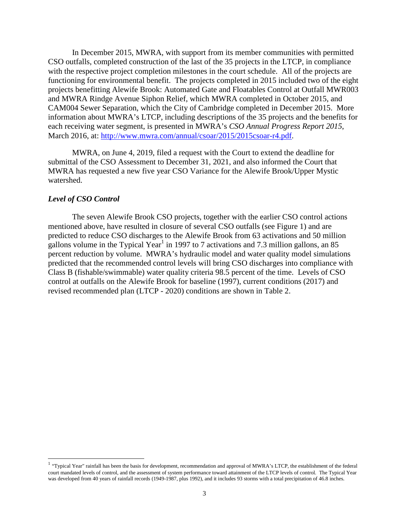In December 2015, MWRA, with support from its member communities with permitted CSO outfalls, completed construction of the last of the 35 projects in the LTCP, in compliance with the respective project completion milestones in the court schedule. All of the projects are functioning for environmental benefit. The projects completed in 2015 included two of the eight projects benefitting Alewife Brook: Automated Gate and Floatables Control at Outfall MWR003 and MWRA Rindge Avenue Siphon Relief, which MWRA completed in October 2015, and CAM004 Sewer Separation, which the City of Cambridge completed in December 2015. More information about MWRA's LTCP, including descriptions of the 35 projects and the benefits for each receiving water segment, is presented in MWRA's *CSO Annual Progress Report 2015*, March 2016, at: http://www.mwra.com/annual/csoar/2015/2015csoar-r4.pdf.

 MWRA, on June 4, 2019, filed a request with the Court to extend the deadline for submittal of the CSO Assessment to December 31, 2021, and also informed the Court that MWRA has requested a new five year CSO Variance for the Alewife Brook/Upper Mystic watershed.

### *Level of CSO Control*

1

The seven Alewife Brook CSO projects, together with the earlier CSO control actions mentioned above, have resulted in closure of several CSO outfalls (see Figure 1) and are predicted to reduce CSO discharges to the Alewife Brook from 63 activations and 50 million gallons volume in the Typical Year<sup>1</sup> in 1997 to 7 activations and 7.3 million gallons, an 85 percent reduction by volume. MWRA's hydraulic model and water quality model simulations predicted that the recommended control levels will bring CSO discharges into compliance with Class B (fishable/swimmable) water quality criteria 98.5 percent of the time. Levels of CSO control at outfalls on the Alewife Brook for baseline (1997), current conditions (2017) and revised recommended plan (LTCP - 2020) conditions are shown in Table 2.

 $<sup>1</sup>$  "Typical Year" rainfall has been the basis for development, recommendation and approval of MWRA's LTCP, the establishment of the federal</sup> court mandated levels of control, and the assessment of system performance toward attainment of the LTCP levels of control. The Typical Year was developed from 40 years of rainfall records (1949-1987, plus 1992), and it includes 93 storms with a total precipitation of 46.8 inches.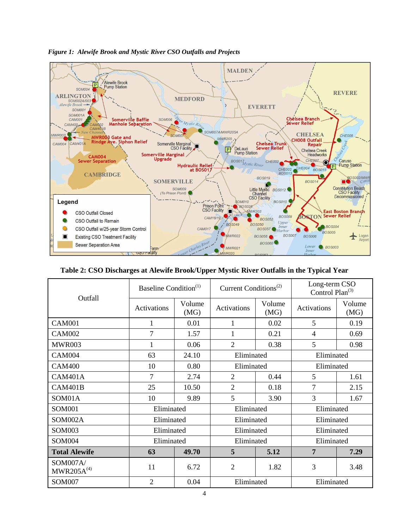

*Figure 1: Alewife Brook and Mystic River CSO Outfalls and Projects* 

# **Table 2: CSO Discharges at Alewife Brook/Upper Mystic River Outfalls in the Typical Year**

| Outfall                     | Baseline Condition <sup>(1)</sup> |                | Current Conditions <sup><math>(2)</math></sup> |                | Long-term CSO<br>Control Plan <sup>(3)</sup> |                |
|-----------------------------|-----------------------------------|----------------|------------------------------------------------|----------------|----------------------------------------------|----------------|
|                             | Activations                       | Volume<br>(MG) | Activations                                    | Volume<br>(MG) | Activations                                  | Volume<br>(MG) |
| <b>CAM001</b>               | 1                                 | 0.01           | 1                                              | 0.02           | 5                                            | 0.19           |
| <b>CAM002</b>               | 7                                 | 1.57           | 1                                              | 0.21           | 4                                            | 0.69           |
| <b>MWR003</b>               |                                   | 0.06           | $\overline{2}$                                 | 0.38           | 5                                            | 0.98           |
| <b>CAM004</b>               | 63                                | 24.10          | Eliminated                                     |                | Eliminated                                   |                |
| <b>CAM400</b>               | 10                                | 0.80           | Eliminated                                     |                | Eliminated                                   |                |
| CAM401A                     | $\overline{7}$                    | 2.74           | $\overline{2}$                                 | 0.44           | 5                                            | 1.61           |
| CAM401B                     | 25                                | 10.50          | $\overline{2}$                                 | 0.18           | 7                                            | 2.15           |
| SOM01A                      | 10                                | 9.89           | 5                                              | 3.90           | 3                                            | 1.67           |
| <b>SOM001</b>               | Eliminated                        |                | Eliminated                                     |                | Eliminated                                   |                |
| SOM002A                     | Eliminated                        |                | Eliminated                                     |                | Eliminated                                   |                |
| SOM003                      | Eliminated                        |                | Eliminated                                     |                | Eliminated                                   |                |
| <b>SOM004</b>               | Eliminated                        |                | Eliminated                                     |                | Eliminated                                   |                |
| <b>Total Alewife</b>        | 63                                | 49.70          | 5                                              | 5.12           | 7                                            | 7.29           |
| SOM007A/<br>$MWR205A^{(4)}$ | 11                                | 6.72           | $\overline{2}$                                 | 1.82           | 3                                            | 3.48           |
| <b>SOM007</b>               | $\overline{2}$                    | 0.04           | Eliminated                                     |                | Eliminated                                   |                |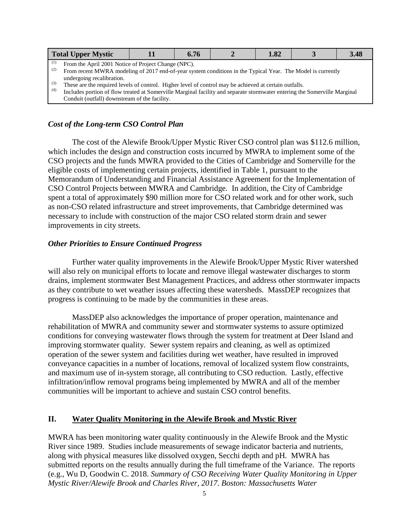|     | <b>Total Upper Mystic</b>                                                                                                 |  | 6.76 |  | 1.82 |  | 3.48 |
|-----|---------------------------------------------------------------------------------------------------------------------------|--|------|--|------|--|------|
| (1) | From the April 2001 Notice of Project Change (NPC).                                                                       |  |      |  |      |  |      |
| (2) | From recent MWRA modeling of 2017 end-of-year system conditions in the Typical Year. The Model is currently               |  |      |  |      |  |      |
|     | undergoing recalibration.                                                                                                 |  |      |  |      |  |      |
| (3) | These are the required levels of control. Higher level of control may be achieved at certain outfalls.                    |  |      |  |      |  |      |
| (4) | Includes portion of flow treated at Somerville Marginal facility and separate stormwater entering the Somerville Marginal |  |      |  |      |  |      |
|     | Conduit (outfall) downstream of the facility.                                                                             |  |      |  |      |  |      |

## *Cost of the Long-term CSO Control Plan*

 The cost of the Alewife Brook/Upper Mystic River CSO control plan was \$112.6 million, which includes the design and construction costs incurred by MWRA to implement some of the CSO projects and the funds MWRA provided to the Cities of Cambridge and Somerville for the eligible costs of implementing certain projects, identified in Table 1, pursuant to the Memorandum of Understanding and Financial Assistance Agreement for the Implementation of CSO Control Projects between MWRA and Cambridge. In addition, the City of Cambridge spent a total of approximately \$90 million more for CSO related work and for other work, such as non-CSO related infrastructure and street improvements, that Cambridge determined was necessary to include with construction of the major CSO related storm drain and sewer improvements in city streets.

### *Other Priorities to Ensure Continued Progress*

 Further water quality improvements in the Alewife Brook/Upper Mystic River watershed will also rely on municipal efforts to locate and remove illegal wastewater discharges to storm drains, implement stormwater Best Management Practices, and address other stormwater impacts as they contribute to wet weather issues affecting these watersheds. MassDEP recognizes that progress is continuing to be made by the communities in these areas.

MassDEP also acknowledges the importance of proper operation, maintenance and rehabilitation of MWRA and community sewer and stormwater systems to assure optimized conditions for conveying wastewater flows through the system for treatment at Deer Island and improving stormwater quality. Sewer system repairs and cleaning, as well as optimized operation of the sewer system and facilities during wet weather, have resulted in improved conveyance capacities in a number of locations, removal of localized system flow constraints, and maximum use of in-system storage, all contributing to CSO reduction. Lastly, effective infiltration/inflow removal programs being implemented by MWRA and all of the member communities will be important to achieve and sustain CSO control benefits.

### **II. Water Quality Monitoring in the Alewife Brook and Mystic River**

MWRA has been monitoring water quality continuously in the Alewife Brook and the Mystic River since 1989. Studies include measurements of sewage indicator bacteria and nutrients, along with physical measures like dissolved oxygen, Secchi depth and pH. MWRA has submitted reports on the results annually during the full timeframe of the Variance. The reports (e.g., Wu D, Goodwin C. 2018. *Summary of CSO Receiving Water Quality Monitoring in Upper Mystic River/Alewife Brook and Charles River, 2017. Boston: Massachusetts Water*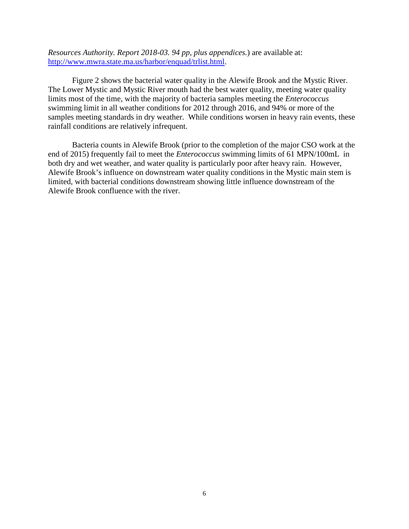*Resources Authority. Report 2018-03. 94 pp, plus appendices.*) are available at: http://www.mwra.state.ma.us/harbor/enquad/trlist.html.

Figure 2 shows the bacterial water quality in the Alewife Brook and the Mystic River. The Lower Mystic and Mystic River mouth had the best water quality, meeting water quality limits most of the time, with the majority of bacteria samples meeting the *Enterococcus* swimming limit in all weather conditions for 2012 through 2016, and 94% or more of the samples meeting standards in dry weather. While conditions worsen in heavy rain events, these rainfall conditions are relatively infrequent.

 Bacteria counts in Alewife Brook (prior to the completion of the major CSO work at the end of 2015) frequently fail to meet the *Enterococcus* swimming limits of 61 MPN/100mL in both dry and wet weather, and water quality is particularly poor after heavy rain. However, Alewife Brook's influence on downstream water quality conditions in the Mystic main stem is limited, with bacterial conditions downstream showing little influence downstream of the Alewife Brook confluence with the river.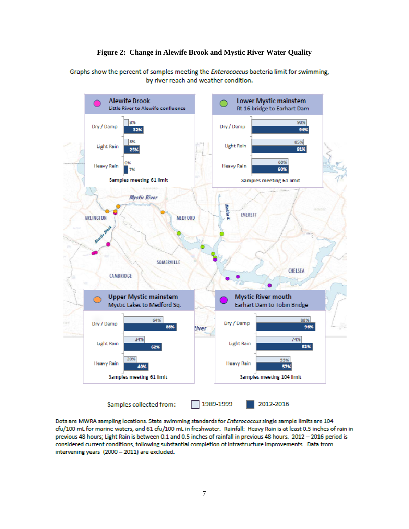#### **Figure 2: Change in Alewife Brook and Mystic River Water Quality**

Graphs show the percent of samples meeting the Enterococcus bacteria limit for swimming, by river reach and weather condition.



Dots are MWRA sampling locations. State swimming standards for Enterococcus single sample limits are 104 cfu/100 mL for marine waters, and 61 cfu/100 mL in freshwater. Rainfall: Heavy Rain is at least 0.5 inches of rain in previous 48 hours; Light Rain is between 0.1 and 0.5 inches of rainfall in previous 48 hours. 2012 - 2016 period is considered current conditions, following substantial completion of infrastructure improvements. Data from intervening years (2000 - 2011) are excluded.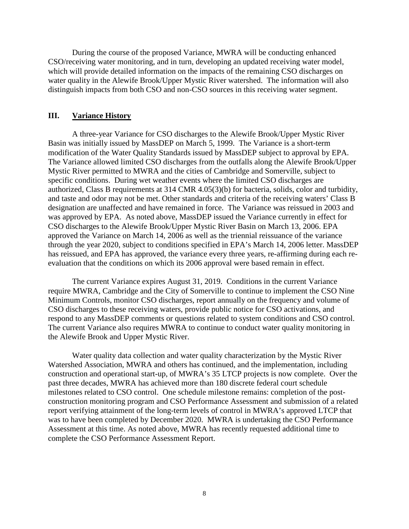During the course of the proposed Variance, MWRA will be conducting enhanced CSO/receiving water monitoring, and in turn, developing an updated receiving water model, which will provide detailed information on the impacts of the remaining CSO discharges on water quality in the Alewife Brook/Upper Mystic River watershed. The information will also distinguish impacts from both CSO and non-CSO sources in this receiving water segment.

#### **III. Variance History**

A three-year Variance for CSO discharges to the Alewife Brook/Upper Mystic River Basin was initially issued by MassDEP on March 5, 1999. The Variance is a short-term modification of the Water Quality Standards issued by MassDEP subject to approval by EPA. The Variance allowed limited CSO discharges from the outfalls along the Alewife Brook/Upper Mystic River permitted to MWRA and the cities of Cambridge and Somerville, subject to specific conditions. During wet weather events where the limited CSO discharges are authorized, Class B requirements at 314 CMR 4.05(3)(b) for bacteria, solids, color and turbidity, and taste and odor may not be met. Other standards and criteria of the receiving waters' Class B designation are unaffected and have remained in force. The Variance was reissued in 2003 and was approved by EPA. As noted above, MassDEP issued the Variance currently in effect for CSO discharges to the Alewife Brook/Upper Mystic River Basin on March 13, 2006. EPA approved the Variance on March 14, 2006 as well as the triennial reissuance of the variance through the year 2020, subject to conditions specified in EPA's March 14, 2006 letter. MassDEP has reissued, and EPA has approved, the variance every three years, re-affirming during each reevaluation that the conditions on which its 2006 approval were based remain in effect.

 The current Variance expires August 31, 2019. Conditions in the current Variance require MWRA, Cambridge and the City of Somerville to continue to implement the CSO Nine Minimum Controls, monitor CSO discharges, report annually on the frequency and volume of CSO discharges to these receiving waters, provide public notice for CSO activations, and respond to any MassDEP comments or questions related to system conditions and CSO control. The current Variance also requires MWRA to continue to conduct water quality monitoring in the Alewife Brook and Upper Mystic River.

Water quality data collection and water quality characterization by the Mystic River Watershed Association, MWRA and others has continued, and the implementation, including construction and operational start-up, of MWRA's 35 LTCP projects is now complete. Over the past three decades, MWRA has achieved more than 180 discrete federal court schedule milestones related to CSO control. One schedule milestone remains: completion of the postconstruction monitoring program and CSO Performance Assessment and submission of a related report verifying attainment of the long-term levels of control in MWRA's approved LTCP that was to have been completed by December 2020. MWRA is undertaking the CSO Performance Assessment at this time. As noted above, MWRA has recently requested additional time to complete the CSO Performance Assessment Report.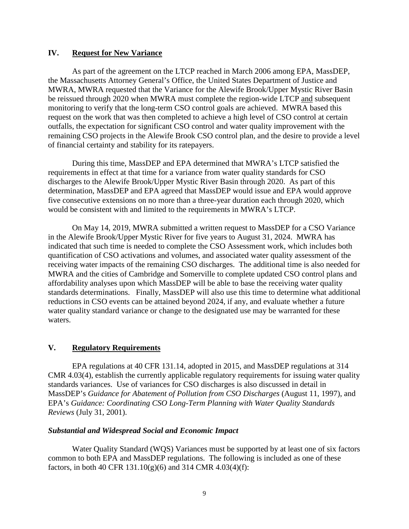### **IV. Request for New Variance**

 As part of the agreement on the LTCP reached in March 2006 among EPA, MassDEP, the Massachusetts Attorney General's Office, the United States Department of Justice and MWRA, MWRA requested that the Variance for the Alewife Brook/Upper Mystic River Basin be reissued through 2020 when MWRA must complete the region-wide LTCP and subsequent monitoring to verify that the long-term CSO control goals are achieved. MWRA based this request on the work that was then completed to achieve a high level of CSO control at certain outfalls, the expectation for significant CSO control and water quality improvement with the remaining CSO projects in the Alewife Brook CSO control plan, and the desire to provide a level of financial certainty and stability for its ratepayers.

 During this time, MassDEP and EPA determined that MWRA's LTCP satisfied the requirements in effect at that time for a variance from water quality standards for CSO discharges to the Alewife Brook/Upper Mystic River Basin through 2020. As part of this determination, MassDEP and EPA agreed that MassDEP would issue and EPA would approve five consecutive extensions on no more than a three-year duration each through 2020, which would be consistent with and limited to the requirements in MWRA's LTCP.

 On May 14, 2019, MWRA submitted a written request to MassDEP for a CSO Variance in the Alewife Brook/Upper Mystic River for five years to August 31, 2024. MWRA has indicated that such time is needed to complete the CSO Assessment work, which includes both quantification of CSO activations and volumes, and associated water quality assessment of the receiving water impacts of the remaining CSO discharges. The additional time is also needed for MWRA and the cities of Cambridge and Somerville to complete updated CSO control plans and affordability analyses upon which MassDEP will be able to base the receiving water quality standards determinations. Finally, MassDEP will also use this time to determine what additional reductions in CSO events can be attained beyond 2024, if any, and evaluate whether a future water quality standard variance or change to the designated use may be warranted for these waters.

## **V. Regulatory Requirements**

EPA regulations at 40 CFR 131.14, adopted in 2015, and MassDEP regulations at 314 CMR 4.03(4), establish the currently applicable regulatory requirements for issuing water quality standards variances. Use of variances for CSO discharges is also discussed in detail in MassDEP's *Guidance for Abatement of Pollution from CSO Discharges* (August 11, 1997), and EPA's *Guidance: Coordinating CSO Long-Term Planning with Water Quality Standards Reviews* (July 31, 2001).

### *Substantial and Widespread Social and Economic Impact*

Water Quality Standard (WQS) Variances must be supported by at least one of six factors common to both EPA and MassDEP regulations. The following is included as one of these factors, in both 40 CFR  $131.10(g)(6)$  and 314 CMR  $4.03(4)(f)$ :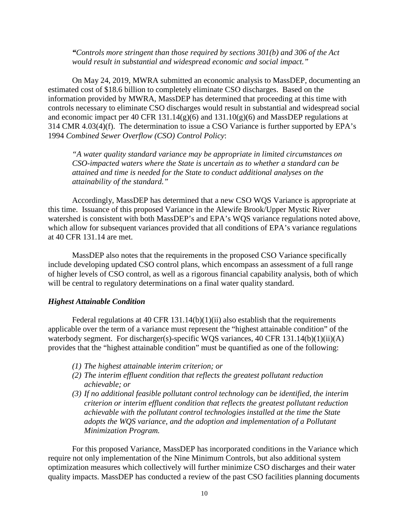*"Controls more stringent than those required by sections 301(b) and 306 of the Act would result in substantial and widespread economic and social impact."* 

On May 24, 2019, MWRA submitted an economic analysis to MassDEP, documenting an estimated cost of \$18.6 billion to completely eliminate CSO discharges. Based on the information provided by MWRA, MassDEP has determined that proceeding at this time with controls necessary to eliminate CSO discharges would result in substantial and widespread social and economic impact per 40 CFR  $131.14(g)(6)$  and  $131.10(g)(6)$  and MassDEP regulations at 314 CMR 4.03(4)(f). The determination to issue a CSO Variance is further supported by EPA's 1994 *Combined Sewer Overflow (CSO) Control Policy*:

*"A water quality standard variance may be appropriate in limited circumstances on CSO-impacted waters where the State is uncertain as to whether a standard can be attained and time is needed for the State to conduct additional analyses on the attainability of the standard."* 

Accordingly, MassDEP has determined that a new CSO WQS Variance is appropriate at this time. Issuance of this proposed Variance in the Alewife Brook/Upper Mystic River watershed is consistent with both MassDEP's and EPA's WQS variance regulations noted above, which allow for subsequent variances provided that all conditions of EPA's variance regulations at 40 CFR 131.14 are met.

MassDEP also notes that the requirements in the proposed CSO Variance specifically include developing updated CSO control plans, which encompass an assessment of a full range of higher levels of CSO control, as well as a rigorous financial capability analysis, both of which will be central to regulatory determinations on a final water quality standard.

#### *Highest Attainable Condition*

Federal regulations at 40 CFR 131.14(b)(1)(ii) also establish that the requirements applicable over the term of a variance must represent the "highest attainable condition" of the waterbody segment. For discharger(s)-specific WQS variances,  $40 \text{ CFR } 131.14(b)(1)(ii)(A)$ provides that the "highest attainable condition" must be quantified as one of the following:

- *(1) The highest attainable interim criterion; or*
- *(2) The interim effluent condition that reflects the greatest pollutant reduction achievable; or*
- *(3) If no additional feasible pollutant control technology can be identified, the interim criterion or interim effluent condition that reflects the greatest pollutant reduction achievable with the pollutant control technologies installed at the time the State adopts the WQS variance, and the adoption and implementation of a Pollutant Minimization Program.*

For this proposed Variance, MassDEP has incorporated conditions in the Variance which require not only implementation of the Nine Minimum Controls, but also additional system optimization measures which collectively will further minimize CSO discharges and their water quality impacts. MassDEP has conducted a review of the past CSO facilities planning documents